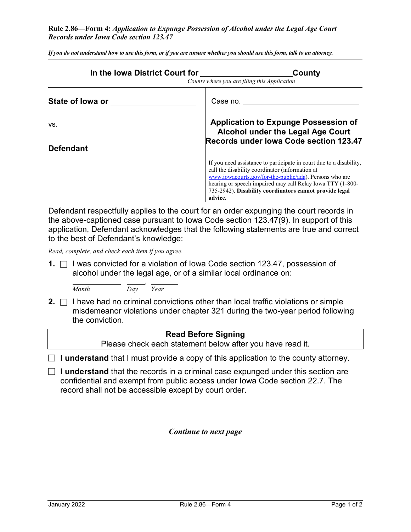## **Rule 2.86—Form 4:** *Application to Expunge Possession of Alcohol under the Legal Age Court Records under Iowa Code section 123.47*

| In the Iowa District Court for | County<br>County where you are filing this Application                                                                                                                                                                                                                                                                |  |  |
|--------------------------------|-----------------------------------------------------------------------------------------------------------------------------------------------------------------------------------------------------------------------------------------------------------------------------------------------------------------------|--|--|
| State of lowa or               | Case no. $\_\_$                                                                                                                                                                                                                                                                                                       |  |  |
| VS.<br><b>Defendant</b>        | <b>Application to Expunge Possession of</b><br>Alcohol under the Legal Age Court<br>Records under Iowa Code section 123.47                                                                                                                                                                                            |  |  |
|                                | If you need assistance to participate in court due to a disability,<br>call the disability coordinator (information at<br>www.iowacourts.gov/for-the-public/ada). Persons who are<br>hearing or speech impaired may call Relay Iowa TTY (1-800-<br>735-2942). Disability coordinators cannot provide legal<br>advice. |  |  |

*If you do not understand how to use this form, or if you are unsure whether you should use this form, talk to an attorney.*

Defendant respectfully applies to the court for an order expunging the court records in the above-captioned case pursuant to Iowa Code section 123.47(9). In support of this application, Defendant acknowledges that the following statements are true and correct to the best of Defendant's knowledge:

*Read, complete, and check each item if you agree.*

**1.** □ I was convicted for a violation of Iowa Code section 123.47, possession of alcohol under the legal age, or of a similar local ordinance on:

, *Month Day Year*

**2.**  $\Box$  I have had no criminal convictions other than local traffic violations or simple misdemeanor violations under chapter 321 during the two-year period following the conviction.

## **Read Before Signing** Please check each statement below after you have read it.  $\Box$  **I understand** that I must provide a copy of this application to the county attorney.

 **I understand** that the records in a criminal case expunged under this section are confidential and exempt from public access under Iowa Code section 22.7. The record shall not be accessible except by court order.

*Continue to next page*